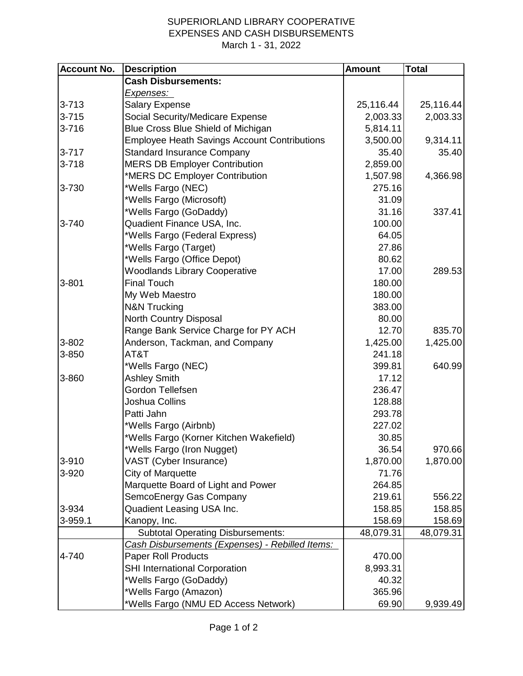## SUPERIORLAND LIBRARY COOPERATIVE EXPENSES AND CASH DISBURSEMENTS March 1 - 31, 2022

| <b>Account No.</b> | <b>Description</b>                                  | <b>Amount</b> | <b>Total</b> |
|--------------------|-----------------------------------------------------|---------------|--------------|
|                    | <b>Cash Disbursements:</b>                          |               |              |
|                    | Expenses:                                           |               |              |
| $3 - 713$          | <b>Salary Expense</b>                               | 25,116.44     | 25,116.44    |
| $3 - 715$          | Social Security/Medicare Expense                    | 2,003.33      | 2,003.33     |
| $3 - 716$          | Blue Cross Blue Shield of Michigan                  | 5,814.11      |              |
|                    | <b>Employee Heath Savings Account Contributions</b> | 3,500.00      | 9,314.11     |
| $3 - 717$          | <b>Standard Insurance Company</b>                   | 35.40         | 35.40        |
| $3 - 718$          | <b>MERS DB Employer Contribution</b>                | 2,859.00      |              |
|                    | *MERS DC Employer Contribution                      | 1,507.98      | 4,366.98     |
| 3-730              | *Wells Fargo (NEC)                                  | 275.16        |              |
|                    | *Wells Fargo (Microsoft)                            | 31.09         |              |
|                    | *Wells Fargo (GoDaddy)                              | 31.16         | 337.41       |
| 3-740              | Quadient Finance USA, Inc.                          | 100.00        |              |
|                    | *Wells Fargo (Federal Express)                      | 64.05         |              |
|                    | *Wells Fargo (Target)                               | 27.86         |              |
|                    | *Wells Fargo (Office Depot)                         | 80.62         |              |
|                    | <b>Woodlands Library Cooperative</b>                | 17.00         | 289.53       |
| 3-801              | <b>Final Touch</b>                                  | 180.00        |              |
|                    | My Web Maestro                                      | 180.00        |              |
|                    | <b>N&amp;N Trucking</b>                             | 383.00        |              |
|                    | North Country Disposal                              | 80.00         |              |
|                    | Range Bank Service Charge for PY ACH                | 12.70         | 835.70       |
| 3-802              | Anderson, Tackman, and Company                      | 1,425.00      | 1,425.00     |
| 3-850              | AT&T                                                | 241.18        |              |
|                    | *Wells Fargo (NEC)                                  | 399.81        | 640.99       |
| 3-860              | <b>Ashley Smith</b>                                 | 17.12         |              |
|                    | Gordon Tellefsen                                    | 236.47        |              |
|                    | Joshua Collins                                      | 128.88        |              |
|                    | Patti Jahn                                          | 293.78        |              |
|                    | *Wells Fargo (Airbnb)                               | 227.02        |              |
|                    | *Wells Fargo (Korner Kitchen Wakefield)             | 30.85         |              |
|                    | *Wells Fargo (Iron Nugget)                          | 36.54         | 970.66       |
| 3-910              | VAST (Cyber Insurance)                              | 1,870.00      | 1,870.00     |
| 3-920              | City of Marquette                                   | 71.76         |              |
|                    | Marquette Board of Light and Power                  | 264.85        |              |
|                    | SemcoEnergy Gas Company                             | 219.61        | 556.22       |
| 3-934              | Quadient Leasing USA Inc.                           | 158.85        | 158.85       |
| 3-959.1            | Kanopy, Inc.                                        | 158.69        | 158.69       |
|                    | <b>Subtotal Operating Disbursements:</b>            | 48,079.31     | 48,079.31    |
|                    | Cash Disbursements (Expenses) - Rebilled Items:     |               |              |
| 4-740              | <b>Paper Roll Products</b>                          | 470.00        |              |
|                    | <b>SHI International Corporation</b>                | 8,993.31      |              |
|                    | *Wells Fargo (GoDaddy)                              | 40.32         |              |
|                    | *Wells Fargo (Amazon)                               | 365.96        |              |
|                    | *Wells Fargo (NMU ED Access Network)                | 69.90         | 9,939.49     |